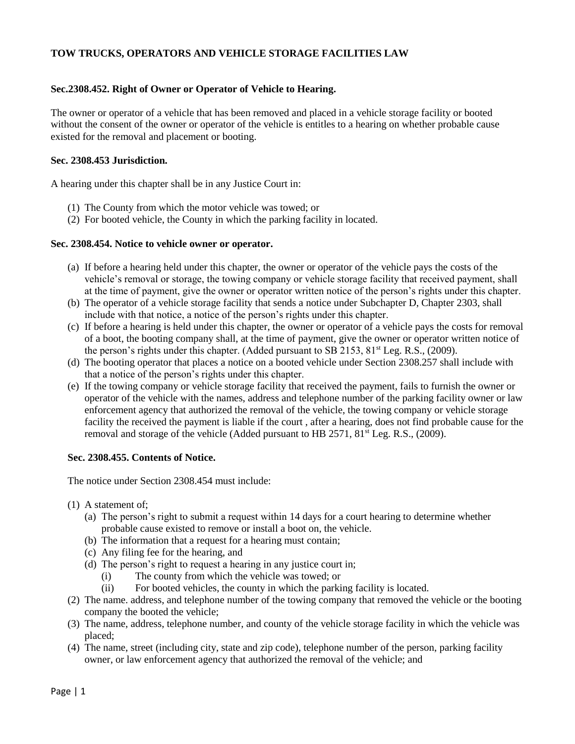## **TOW TRUCKS, OPERATORS AND VEHICLE STORAGE FACILITIES LAW**

#### **Sec.2308.452. Right of Owner or Operator of Vehicle to Hearing.**

The owner or operator of a vehicle that has been removed and placed in a vehicle storage facility or booted without the consent of the owner or operator of the vehicle is entitles to a hearing on whether probable cause existed for the removal and placement or booting.

#### **Sec. 2308.453 Jurisdiction.**

A hearing under this chapter shall be in any Justice Court in:

- (1) The County from which the motor vehicle was towed; or
- (2) For booted vehicle, the County in which the parking facility in located.

#### **Sec. 2308.454. Notice to vehicle owner or operator.**

- (a) If before a hearing held under this chapter, the owner or operator of the vehicle pays the costs of the vehicle's removal or storage, the towing company or vehicle storage facility that received payment, shall at the time of payment, give the owner or operator written notice of the person's rights under this chapter.
- (b) The operator of a vehicle storage facility that sends a notice under Subchapter D, Chapter 2303, shall include with that notice, a notice of the person's rights under this chapter.
- (c) If before a hearing is held under this chapter, the owner or operator of a vehicle pays the costs for removal of a boot, the booting company shall, at the time of payment, give the owner or operator written notice of the person's rights under this chapter. (Added pursuant to SB 2153,  $81<sup>st</sup>$  Leg. R.S., (2009).
- (d) The booting operator that places a notice on a booted vehicle under Section 2308.257 shall include with that a notice of the person's rights under this chapter.
- (e) If the towing company or vehicle storage facility that received the payment, fails to furnish the owner or operator of the vehicle with the names, address and telephone number of the parking facility owner or law enforcement agency that authorized the removal of the vehicle, the towing company or vehicle storage facility the received the payment is liable if the court , after a hearing, does not find probable cause for the removal and storage of the vehicle (Added pursuant to HB  $2571$ ,  $81<sup>st</sup>$  Leg. R.S., (2009).

#### **Sec. 2308.455. Contents of Notice.**

The notice under Section 2308.454 must include:

- (1) A statement of;
	- (a) The person's right to submit a request within 14 days for a court hearing to determine whether probable cause existed to remove or install a boot on, the vehicle.
	- (b) The information that a request for a hearing must contain;
	- (c) Any filing fee for the hearing, and
	- (d) The person's right to request a hearing in any justice court in;
		- (i) The county from which the vehicle was towed; or
		- (ii) For booted vehicles, the county in which the parking facility is located.
- (2) The name. address, and telephone number of the towing company that removed the vehicle or the booting company the booted the vehicle;
- (3) The name, address, telephone number, and county of the vehicle storage facility in which the vehicle was placed;
- (4) The name, street (including city, state and zip code), telephone number of the person, parking facility owner, or law enforcement agency that authorized the removal of the vehicle; and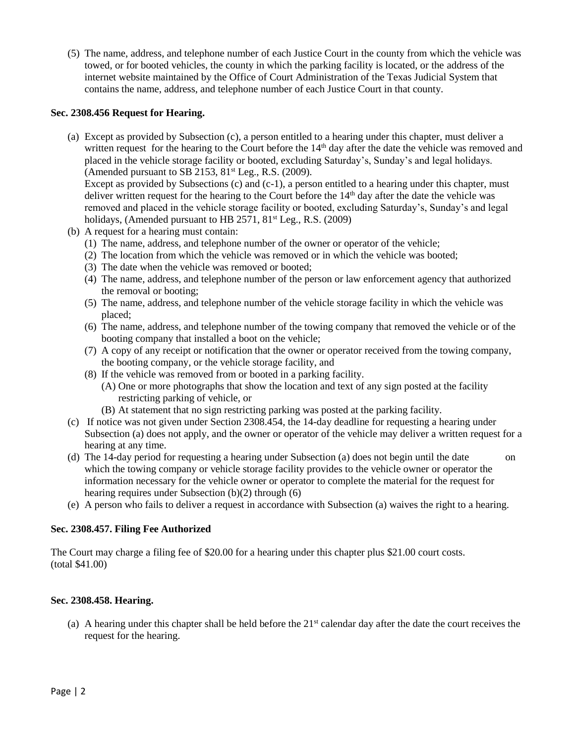(5) The name, address, and telephone number of each Justice Court in the county from which the vehicle was towed, or for booted vehicles, the county in which the parking facility is located, or the address of the internet website maintained by the Office of Court Administration of the Texas Judicial System that contains the name, address, and telephone number of each Justice Court in that county.

#### **Sec. 2308.456 Request for Hearing.**

(a) Except as provided by Subsection (c), a person entitled to a hearing under this chapter, must deliver a written request for the hearing to the Court before the  $14<sup>th</sup>$  day after the date the vehicle was removed and placed in the vehicle storage facility or booted, excluding Saturday's, Sunday's and legal holidays. (Amended pursuant to SB 2153,  $81<sup>st</sup>$  Leg., R.S. (2009).

Except as provided by Subsections (c) and  $(c-1)$ , a person entitled to a hearing under this chapter, must deliver written request for the hearing to the Court before the  $14<sup>th</sup>$  day after the date the vehicle was removed and placed in the vehicle storage facility or booted, excluding Saturday's, Sunday's and legal holidays, (Amended pursuant to HB  $2571$ ,  $81<sup>st</sup>$  Leg., R.S. (2009)

- (b) A request for a hearing must contain:
	- (1) The name, address, and telephone number of the owner or operator of the vehicle;
	- (2) The location from which the vehicle was removed or in which the vehicle was booted;
	- (3) The date when the vehicle was removed or booted;
	- (4) The name, address, and telephone number of the person or law enforcement agency that authorized the removal or booting;
	- (5) The name, address, and telephone number of the vehicle storage facility in which the vehicle was placed;
	- (6) The name, address, and telephone number of the towing company that removed the vehicle or of the booting company that installed a boot on the vehicle;
	- (7) A copy of any receipt or notification that the owner or operator received from the towing company, the booting company, or the vehicle storage facility, and
	- (8) If the vehicle was removed from or booted in a parking facility.
		- (A) One or more photographs that show the location and text of any sign posted at the facility restricting parking of vehicle, or
		- (B) At statement that no sign restricting parking was posted at the parking facility.
- (c) If notice was not given under Section 2308.454, the 14-day deadline for requesting a hearing under Subsection (a) does not apply, and the owner or operator of the vehicle may deliver a written request for a hearing at any time.
- (d) The 14-day period for requesting a hearing under Subsection (a) does not begin until the date on which the towing company or vehicle storage facility provides to the vehicle owner or operator the information necessary for the vehicle owner or operator to complete the material for the request for hearing requires under Subsection (b)(2) through (6)
- (e) A person who fails to deliver a request in accordance with Subsection (a) waives the right to a hearing.

## **Sec. 2308.457. Filing Fee Authorized**

The Court may charge a filing fee of \$20.00 for a hearing under this chapter plus \$21.00 court costs. (total \$41.00)

## **Sec. 2308.458. Hearing.**

(a) A hearing under this chapter shall be held before the  $21<sup>st</sup>$  calendar day after the date the court receives the request for the hearing.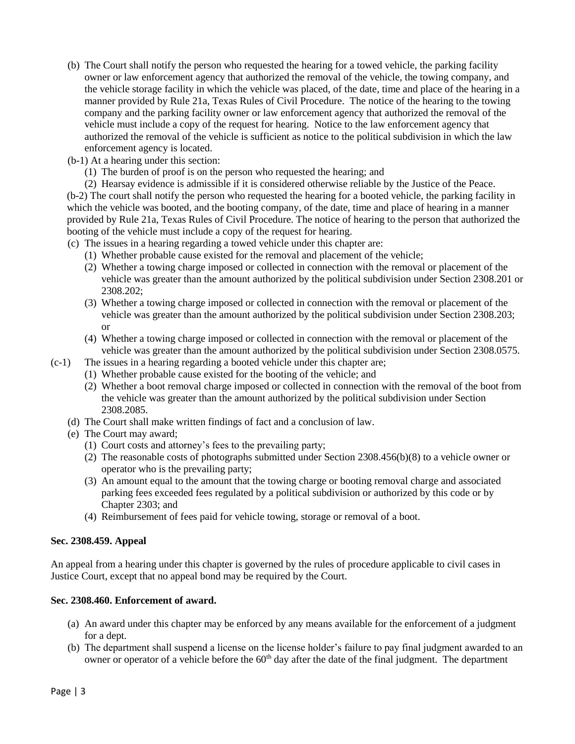- (b) The Court shall notify the person who requested the hearing for a towed vehicle, the parking facility owner or law enforcement agency that authorized the removal of the vehicle, the towing company, and the vehicle storage facility in which the vehicle was placed, of the date, time and place of the hearing in a manner provided by Rule 21a, Texas Rules of Civil Procedure. The notice of the hearing to the towing company and the parking facility owner or law enforcement agency that authorized the removal of the vehicle must include a copy of the request for hearing. Notice to the law enforcement agency that authorized the removal of the vehicle is sufficient as notice to the political subdivision in which the law enforcement agency is located.
- (b-1) At a hearing under this section:
	- (1) The burden of proof is on the person who requested the hearing; and
- (2) Hearsay evidence is admissible if it is considered otherwise reliable by the Justice of the Peace. (b-2) The court shall notify the person who requested the hearing for a booted vehicle, the parking facility in which the vehicle was booted, and the booting company, of the date, time and place of hearing in a manner provided by Rule 21a, Texas Rules of Civil Procedure. The notice of hearing to the person that authorized the booting of the vehicle must include a copy of the request for hearing.
- (c) The issues in a hearing regarding a towed vehicle under this chapter are:
	- (1) Whether probable cause existed for the removal and placement of the vehicle;
	- (2) Whether a towing charge imposed or collected in connection with the removal or placement of the vehicle was greater than the amount authorized by the political subdivision under Section 2308.201 or 2308.202;
	- (3) Whether a towing charge imposed or collected in connection with the removal or placement of the vehicle was greater than the amount authorized by the political subdivision under Section 2308.203; or
	- (4) Whether a towing charge imposed or collected in connection with the removal or placement of the vehicle was greater than the amount authorized by the political subdivision under Section 2308.0575.
- (c-1) The issues in a hearing regarding a booted vehicle under this chapter are;
	- (1) Whether probable cause existed for the booting of the vehicle; and
	- (2) Whether a boot removal charge imposed or collected in connection with the removal of the boot from the vehicle was greater than the amount authorized by the political subdivision under Section 2308.2085.
	- (d) The Court shall make written findings of fact and a conclusion of law.
	- (e) The Court may award;
		- (1) Court costs and attorney's fees to the prevailing party;
		- (2) The reasonable costs of photographs submitted under Section 2308.456(b)(8) to a vehicle owner or operator who is the prevailing party;
		- (3) An amount equal to the amount that the towing charge or booting removal charge and associated parking fees exceeded fees regulated by a political subdivision or authorized by this code or by Chapter 2303; and
		- (4) Reimbursement of fees paid for vehicle towing, storage or removal of a boot.

## **Sec. 2308.459. Appeal**

An appeal from a hearing under this chapter is governed by the rules of procedure applicable to civil cases in Justice Court, except that no appeal bond may be required by the Court.

## **Sec. 2308.460. Enforcement of award.**

- (a) An award under this chapter may be enforced by any means available for the enforcement of a judgment for a dept.
- (b) The department shall suspend a license on the license holder's failure to pay final judgment awarded to an owner or operator of a vehicle before the 60<sup>th</sup> day after the date of the final judgment. The department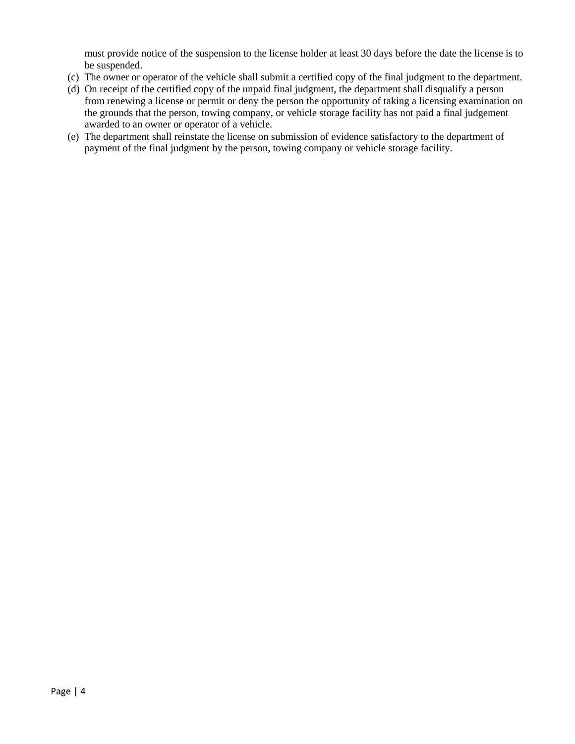must provide notice of the suspension to the license holder at least 30 days before the date the license is to be suspended.

- (c) The owner or operator of the vehicle shall submit a certified copy of the final judgment to the department.
- (d) On receipt of the certified copy of the unpaid final judgment, the department shall disqualify a person from renewing a license or permit or deny the person the opportunity of taking a licensing examination on the grounds that the person, towing company, or vehicle storage facility has not paid a final judgement awarded to an owner or operator of a vehicle.
- (e) The department shall reinstate the license on submission of evidence satisfactory to the department of payment of the final judgment by the person, towing company or vehicle storage facility.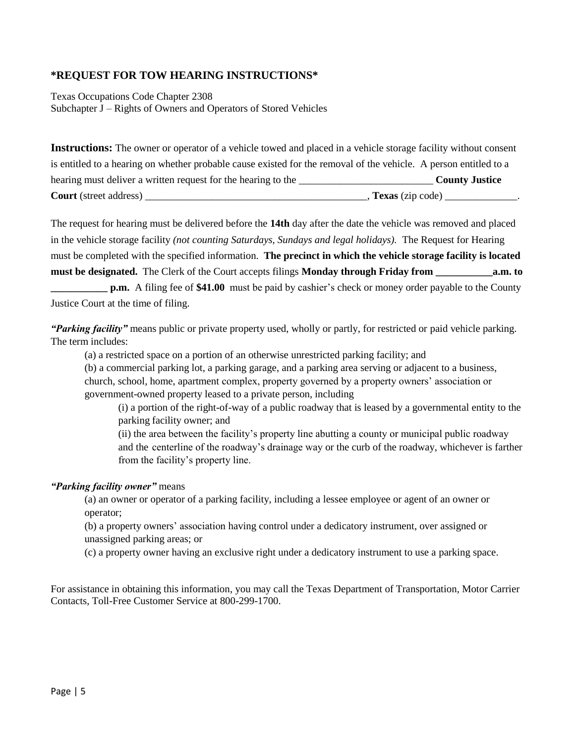# **\*REQUEST FOR TOW HEARING INSTRUCTIONS\***

Texas Occupations Code Chapter 2308 Subchapter J – Rights of Owners and Operators of Stored Vehicles

**Instructions:** The owner or operator of a vehicle towed and placed in a vehicle storage facility without consent is entitled to a hearing on whether probable cause existed for the removal of the vehicle. A person entitled to a hearing must deliver a written request for the hearing to the \_\_\_\_\_\_\_\_\_\_\_\_\_\_\_\_\_\_\_\_\_\_\_\_\_\_ **County Justice Court** (street address) \_\_\_\_\_\_\_\_\_\_\_\_\_\_\_\_\_\_\_\_\_\_\_\_\_\_\_\_\_\_\_\_\_\_\_\_\_\_\_\_\_\_\_, **Texas** (zip code) \_\_\_\_\_\_\_\_\_\_\_\_\_\_.

The request for hearing must be delivered before the **14th** day after the date the vehicle was removed and placed in the vehicle storage facility *(not counting Saturdays, Sundays and legal holidays).* The Request for Hearing must be completed with the specified information. **The precinct in which the vehicle storage facility is located must be designated.** The Clerk of the Court accepts filings **Monday through Friday from \_\_\_\_\_\_\_\_\_\_\_a.m. to** 

**p.m.** A filing fee of \$41.00 must be paid by cashier's check or money order payable to the County Justice Court at the time of filing.

*"Parking facility"* means public or private property used, wholly or partly, for restricted or paid vehicle parking. The term includes:

(a) a restricted space on a portion of an otherwise unrestricted parking facility; and

(b) a commercial parking lot, a parking garage, and a parking area serving or adjacent to a business, church, school, home, apartment complex, property governed by a property owners' association or government-owned property leased to a private person, including

(i) a portion of the right-of-way of a public roadway that is leased by a governmental entity to the parking facility owner; and

(ii) the area between the facility's property line abutting a county or municipal public roadway and the centerline of the roadway's drainage way or the curb of the roadway, whichever is farther from the facility's property line.

## *"Parking facility owner"* means

(a) an owner or operator of a parking facility, including a lessee employee or agent of an owner or operator;

(b) a property owners' association having control under a dedicatory instrument, over assigned or unassigned parking areas; or

(c) a property owner having an exclusive right under a dedicatory instrument to use a parking space.

For assistance in obtaining this information, you may call the Texas Department of Transportation, Motor Carrier Contacts, Toll-Free Customer Service at 800-299-1700.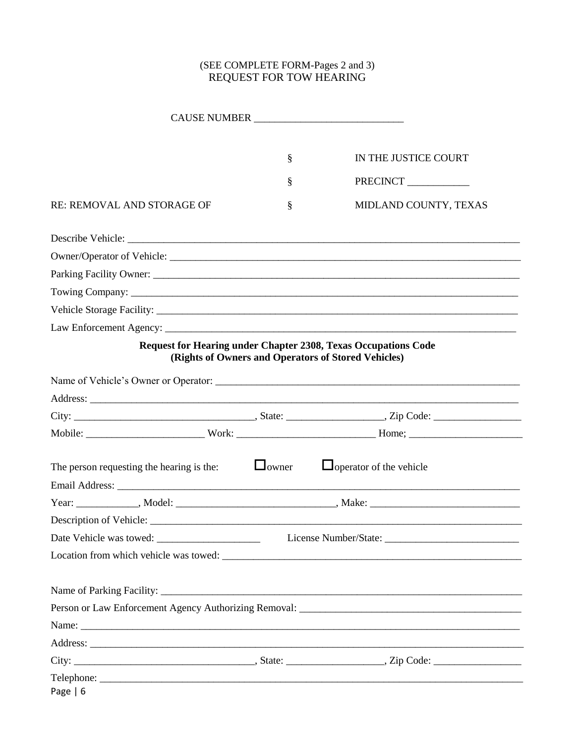## (SEE COMPLETE FORM-Pages 2 and 3) REQUEST FOR TOW HEARING

|                                                        | § | IN THE JUSTICE COURT                                                                                                         |
|--------------------------------------------------------|---|------------------------------------------------------------------------------------------------------------------------------|
|                                                        | § | PRECINCT                                                                                                                     |
| <b>RE: REMOVAL AND STORAGE OF</b>                      | § | MIDLAND COUNTY, TEXAS                                                                                                        |
|                                                        |   |                                                                                                                              |
|                                                        |   |                                                                                                                              |
|                                                        |   |                                                                                                                              |
|                                                        |   |                                                                                                                              |
|                                                        |   |                                                                                                                              |
|                                                        |   |                                                                                                                              |
|                                                        |   | <b>Request for Hearing under Chapter 2308, Texas Occupations Code</b><br>(Rights of Owners and Operators of Stored Vehicles) |
|                                                        |   |                                                                                                                              |
|                                                        |   |                                                                                                                              |
|                                                        |   |                                                                                                                              |
|                                                        |   |                                                                                                                              |
| The person requesting the hearing is the: $\Box$ owner |   | $\Box$ operator of the vehicle                                                                                               |
|                                                        |   |                                                                                                                              |
|                                                        |   |                                                                                                                              |
|                                                        |   |                                                                                                                              |
|                                                        |   |                                                                                                                              |
|                                                        |   |                                                                                                                              |
|                                                        |   |                                                                                                                              |
|                                                        |   |                                                                                                                              |
|                                                        |   |                                                                                                                              |
|                                                        |   |                                                                                                                              |
|                                                        |   |                                                                                                                              |
| Page $  6$                                             |   | Telephone:                                                                                                                   |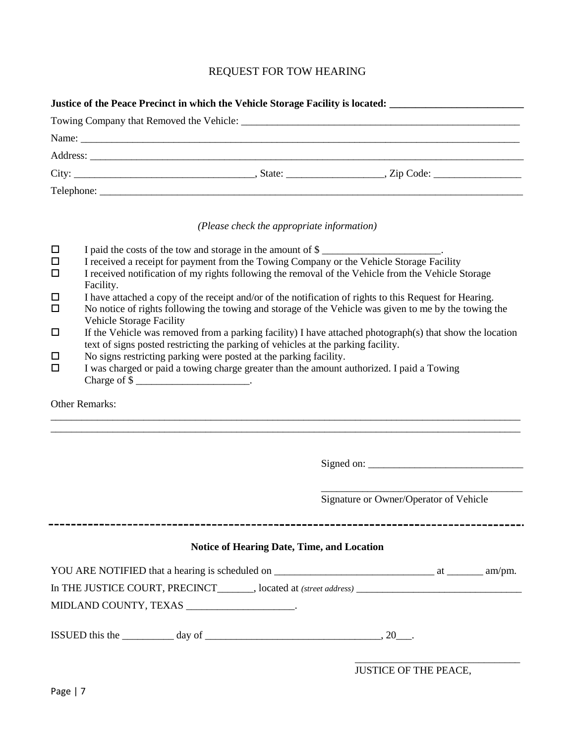# REQUEST FOR TOW HEARING

|                  | Justice of the Peace Precinct in which the Vehicle Storage Facility is located:                                                                                                                                                                                                        |  |  |  |  |  |
|------------------|----------------------------------------------------------------------------------------------------------------------------------------------------------------------------------------------------------------------------------------------------------------------------------------|--|--|--|--|--|
|                  |                                                                                                                                                                                                                                                                                        |  |  |  |  |  |
|                  | Name: $\frac{1}{2}$ Name: $\frac{1}{2}$ Name: $\frac{1}{2}$ Name: $\frac{1}{2}$ Name: $\frac{1}{2}$ Name: $\frac{1}{2}$ Name: $\frac{1}{2}$ Name: $\frac{1}{2}$ Name: $\frac{1}{2}$ Name: $\frac{1}{2}$ Name: $\frac{1}{2}$ Name: $\frac{1}{2}$ Name: $\frac{1}{2}$ Name: $\frac{1}{2$ |  |  |  |  |  |
|                  |                                                                                                                                                                                                                                                                                        |  |  |  |  |  |
|                  |                                                                                                                                                                                                                                                                                        |  |  |  |  |  |
|                  |                                                                                                                                                                                                                                                                                        |  |  |  |  |  |
|                  | (Please check the appropriate information)                                                                                                                                                                                                                                             |  |  |  |  |  |
| $\Box$           | I paid the costs of the tow and storage in the amount of \$                                                                                                                                                                                                                            |  |  |  |  |  |
| $\Box$<br>$\Box$ | I received a receipt for payment from the Towing Company or the Vehicle Storage Facility<br>I received notification of my rights following the removal of the Vehicle from the Vehicle Storage<br>Facility.                                                                            |  |  |  |  |  |
| $\Box$<br>$\Box$ | I have attached a copy of the receipt and/or of the notification of rights to this Request for Hearing.<br>No notice of rights following the towing and storage of the Vehicle was given to me by the towing the                                                                       |  |  |  |  |  |

- Vehicle Storage Facility
- $\Box$  If the Vehicle was removed from a parking facility) I have attached photograph(s) that show the location text of signs posted restricting the parking of vehicles at the parking facility.

\_\_\_\_\_\_\_\_\_\_\_\_\_\_\_\_\_\_\_\_\_\_\_\_\_\_\_\_\_\_\_\_\_\_\_\_\_\_\_\_\_\_\_\_\_\_\_\_\_\_\_\_\_\_\_\_\_\_\_\_\_\_\_\_\_\_\_\_\_\_\_\_\_\_\_\_\_\_\_\_\_\_\_\_\_\_\_\_\_\_\_ \_\_\_\_\_\_\_\_\_\_\_\_\_\_\_\_\_\_\_\_\_\_\_\_\_\_\_\_\_\_\_\_\_\_\_\_\_\_\_\_\_\_\_\_\_\_\_\_\_\_\_\_\_\_\_\_\_\_\_\_\_\_\_\_\_\_\_\_\_\_\_\_\_\_\_\_\_\_\_\_\_\_\_\_\_\_\_\_\_\_\_

- $\square$  No signs restricting parking were posted at the parking facility.
- I was charged or paid a towing charge greater than the amount authorized. I paid a Towing Charge of \$

Other Remarks:

Signed on: \_\_\_\_\_\_\_\_\_\_\_\_\_\_\_\_\_\_\_\_\_\_\_\_\_\_\_\_\_\_

\_\_\_\_\_\_\_\_\_\_\_\_\_\_\_\_\_\_\_\_\_\_\_\_\_\_\_\_\_\_\_\_\_\_\_\_\_\_\_ Signature or Owner/Operator of Vehicle

#### **Notice of Hearing Date, Time, and Location**

| YOU ARE NOTIFIED that a hearing is scheduled on                        | am/pm. |
|------------------------------------------------------------------------|--------|
| In THE JUSTICE COURT, PRECINCT<br>, located at <i>(street address)</i> |        |
| MIDLAND COUNTY, TEXAS                                                  |        |

| ISSUED this the |  |
|-----------------|--|
|-----------------|--|

JUSTICE OF THE PEACE,

\_\_\_\_\_\_\_\_\_\_\_\_\_\_\_\_\_\_\_\_\_\_\_\_\_\_\_\_\_\_\_\_